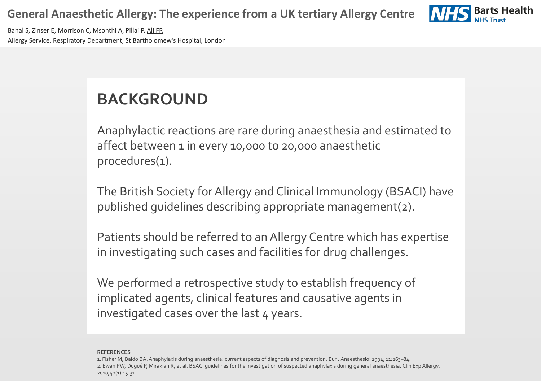Bahal S, Zinser E, Morrison C, Msonthi A, Pillai P, Ali FR Allergy Service, Respiratory Department, St Bartholomew's Hospital, London

## **BACKGROUND**

Anaphylactic reactions are rare during anaesthesia and estimated to affect between 1 in every 10,000 to 20,000 anaesthetic procedures(1).

We performed a retrospective study to establish frequency of implicated agents, clinical features and causative agents in investigated cases over the last 4 years.

The British Society for Allergy and Clinical Immunology (BSACI) have published guidelines describing appropriate management(2).

Patients should be referred to an Allergy Centre which has expertise in investigating such cases and facilities for drug challenges.

#### **REFERENCES**

1. Fisher M, Baldo BA. Anaphylaxis during anaesthesia: current aspects of diagnosis and prevention. Eur J Anaesthesiol 1994; 11:263–84. 2. Ewan PW, Dugué P, Mirakian R, et al. BSACI guidelines for the investigation of suspected anaphylaxis during general anaesthesia. Clin Exp Allergy. 2010;40(1):15-31

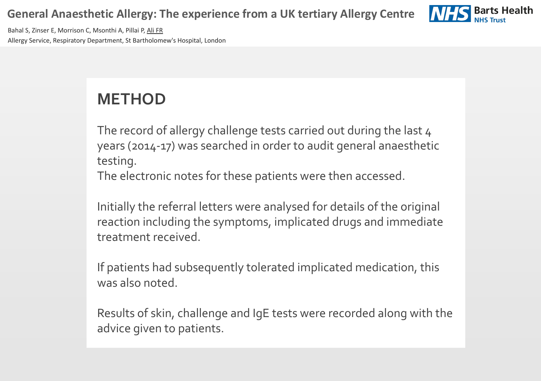Bahal S, Zinser E, Morrison C, Msonthi A, Pillai P, Ali FR Allergy Service, Respiratory Department, St Bartholomew's Hospital, London

> The record of allergy challenge tests carried out during the last 4 years (2014-17) was searched in order to audit general anaesthetic testing.

## **METHOD**

The electronic notes for these patients were then accessed.

Initially the referral letters were analysed for details of the original reaction including the symptoms, implicated drugs and immediate treatment received.

If patients had subsequently tolerated implicated medication, this was also noted.

Results of skin, challenge and IgE tests were recorded along with the advice given to patients.



- 
- 
- 
- 
-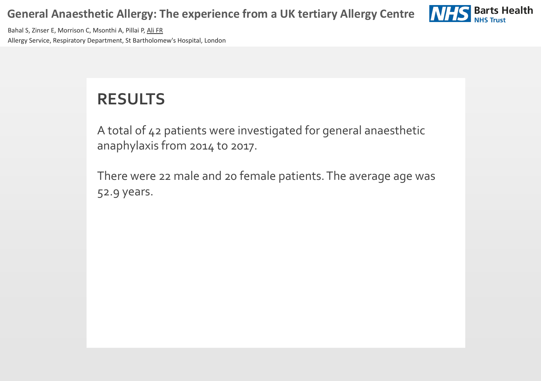Bahal S, Zinser E, Morrison C, Msonthi A, Pillai P, Ali FR Allergy Service, Respiratory Department, St Bartholomew's Hospital, London

## **RESULTS**

A total of 42 patients were investigated for general anaesthetic anaphylaxis from 2014 to 2017.

There were 22 male and 20 female patients. The average age was 52.9 years.

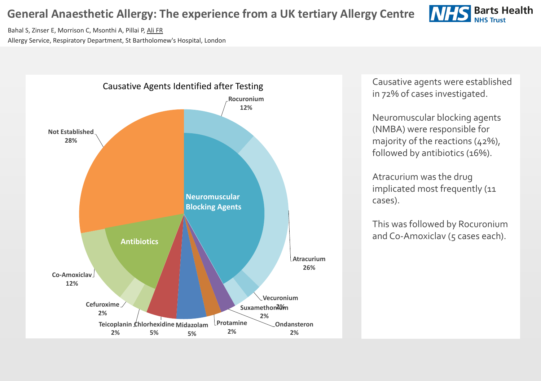



Bahal S, Zinser E, Morrison C, Msonthi A, Pillai P, Ali FR Allergy Service, Respiratory Department, St Bartholomew's Hospital, London

#### **General Anaesthetic Allergy: The experience from a UK tertiary Allergy Centre**

|  | Causative agents were established<br>in 72% of cases investigated.                                                                 |  |
|--|------------------------------------------------------------------------------------------------------------------------------------|--|
|  | Neuromuscular blocking agents<br>(NMBA) were responsible for<br>majority of the reactions (42%),<br>followed by antibiotics (16%). |  |
|  | Atracurium was the drug<br>implicated most frequently (11<br>cases).                                                               |  |
|  | This was followed by Rocuronium<br>and Co-Amoxiclav (5 cases each).                                                                |  |
|  |                                                                                                                                    |  |
|  |                                                                                                                                    |  |
|  |                                                                                                                                    |  |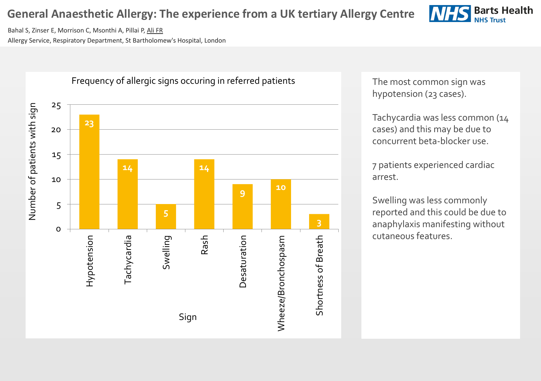



Bahal S, Zinser E, Morrison C, Msonthi A, Pillai P, Ali FR Allergy Service, Respiratory Department, St Bartholomew's Hospital, London

### **General Anaesthetic Allergy: The experience from a UK tertiary Allergy Centre**

The most common sign was hypotension (23 cases).

Tachycardia was less common (14 cases) and this may be due to concurrent beta-blocker use.

7 patients experienced cardiac arrest.

Swelling was less commonly reported and this could be due to anaphylaxis manifesting without cutaneous features.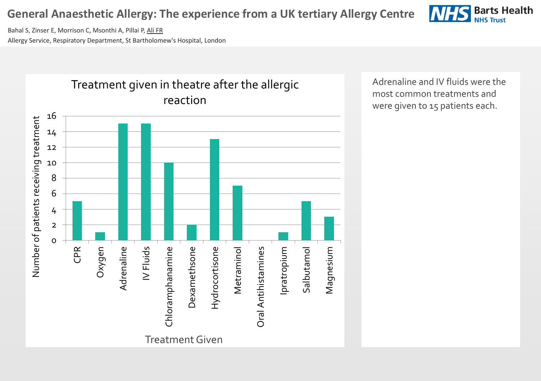Magnesium Adrenaline and IV fluids were the most common treatments and were given to 15 patients each.





Bahal S, Zinser E, Morrison C, Msonthi A, Pillai P, Ali FR Allergy Service, Respiratory Department, St Bartholomew's Hospital, London

#### **General Anaesthetic Allergy: The experience from a UK tertiary Allergy Centre**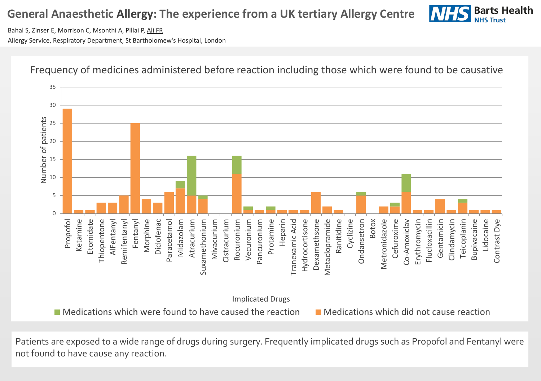Bahal S, Zinser E, Morrison C, Msonthi A, Pillai P, Ali FR Allergy Service, Respiratory Department, St Bartholomew's Hospital, London



Patients are exposed to a wide range of drugs during surgery. Frequently implicated drugs such as Propofol and Fentanyl were not found to have cause any reaction.

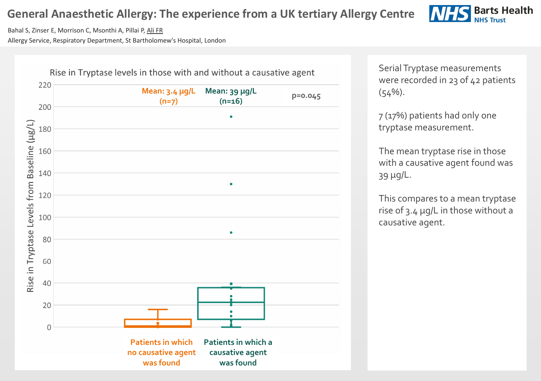



Bahal S, Zinser E, Morrison C, Msonthi A, Pillai P, Ali FR

Allergy Service, Respiratory Department, St Bartholomew's Hospital, London

Serial Tryptase measurements were recorded in 23 of 42 patients  $(54%)$ . 7 (17%) patients had only one tryptase measurement. The mean tryptase rise in those with a causative agent found was 39 µg/L. This compares to a mean tryptase rise of 3.4 µg/L in those without a causative agent.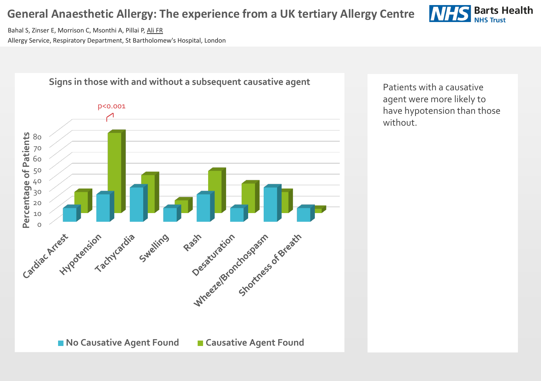



Bahal S, Zinser E, Morrison C, Msonthi A, Pillai P, Ali FR Allergy Service, Respiratory Department, St Bartholomew's Hospital, London

#### **General Anaesthetic Allergy: The experience from a UK tertiary Allergy Centre**

Patients with a causative agent were more likely to have hypotension than those without.